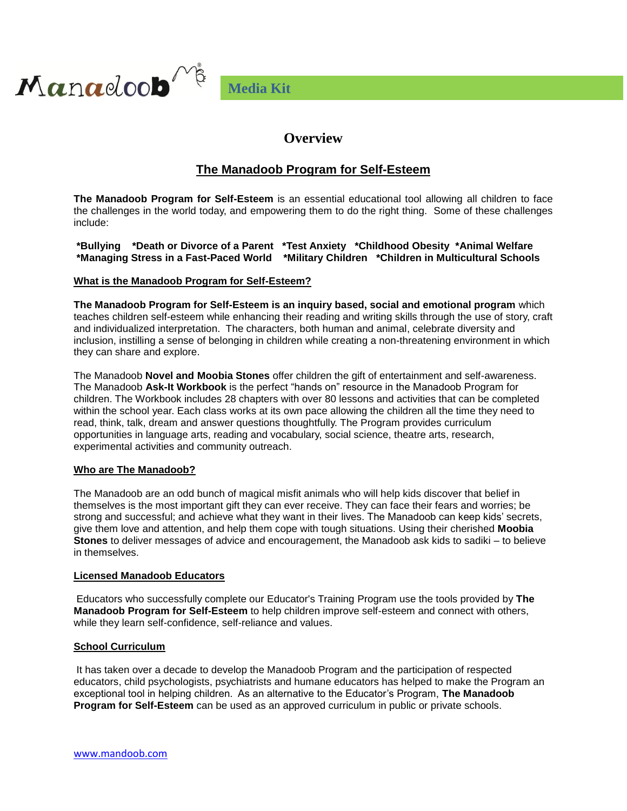

# **Overview**

# **The Manadoob Program for Self-Esteem**

**The Manadoob Program for Self-Esteem** is an essential educational tool allowing all children to face the challenges in the world today, and empowering them to do the right thing. Some of these challenges include:

**\*Bullying \*Death or Divorce of a Parent \*Test Anxiety \*Childhood Obesity \*Animal Welfare \*Managing Stress in a Fast-Paced World \*Military Children \*Children in Multicultural Schools**

### **What is the Manadoob Program for Self-Esteem?**

**The Manadoob Program for Self-Esteem is an inquiry based, social and emotional program** which teaches children self-esteem while enhancing their reading and writing skills through the use of story, craft and individualized interpretation. The characters, both human and animal, celebrate diversity and inclusion, instilling a sense of belonging in children while creating a non-threatening environment in which they can share and explore.

The Manadoob **Novel and Moobia Stones** offer children the gift of entertainment and self-awareness. The Manadoob **Ask-It Workbook** is the perfect "hands on" resource in the Manadoob Program for children. The Workbook includes 28 chapters with over 80 lessons and activities that can be completed within the school year. Each class works at its own pace allowing the children all the time they need to read, think, talk, dream and answer questions thoughtfully. The Program provides curriculum opportunities in language arts, reading and vocabulary, social science, theatre arts, research, experimental activities and community outreach.

## **Who are The Manadoob?**

Manaeloo**b** 

The Manadoob are an odd bunch of magical misfit animals who will help kids discover that belief in themselves is the most important gift they can ever receive. They can face their fears and worries; be strong and successful; and achieve what they want in their lives. The Manadoob can keep kids' secrets, give them love and attention, and help them cope with tough situations. Using their cherished **Moobia Stones** to deliver messages of advice and encouragement, the Manadoob ask kids to sadiki – to believe in themselves.

### **Licensed Manadoob Educators**

Educators who successfully complete our Educator's Training Program use the tools provided by **The Manadoob Program for Self-Esteem** to help children improve self-esteem and connect with others, while they learn self-confidence, self-reliance and values.

### **School Curriculum**

It has taken over a decade to develop the Manadoob Program and the participation of respected educators, child psychologists, psychiatrists and humane educators has helped to make the Program an exceptional tool in helping children. As an alternative to the Educator's Program, **The Manadoob Program for Self-Esteem** can be used as an approved curriculum in public or private schools.